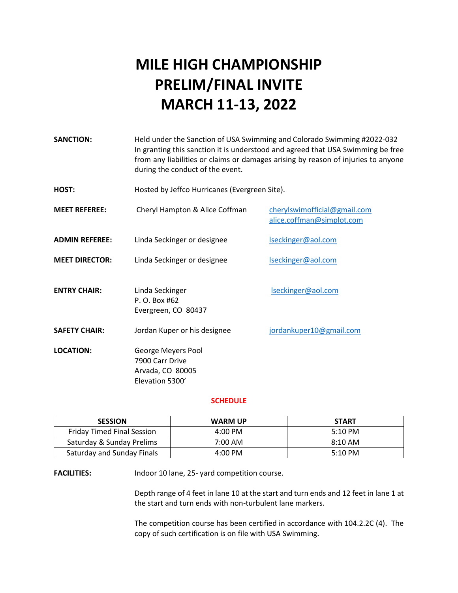# **MILE HIGH CHAMPIONSHIP PRELIM/FINAL INVITE MARCH 11-13, 2022**

| <b>SANCTION:</b>      | Held under the Sanction of USA Swimming and Colorado Swimming #2022-032<br>In granting this sanction it is understood and agreed that USA Swimming be free<br>from any liabilities or claims or damages arising by reason of injuries to anyone<br>during the conduct of the event. |                                                           |  |
|-----------------------|-------------------------------------------------------------------------------------------------------------------------------------------------------------------------------------------------------------------------------------------------------------------------------------|-----------------------------------------------------------|--|
| HOST:                 | Hosted by Jeffco Hurricanes (Evergreen Site).                                                                                                                                                                                                                                       |                                                           |  |
| <b>MEET REFEREE:</b>  | Cheryl Hampton & Alice Coffman                                                                                                                                                                                                                                                      | cherylswimofficial@gmail.com<br>alice.coffman@simplot.com |  |
| <b>ADMIN REFEREE:</b> | Linda Seckinger or designee                                                                                                                                                                                                                                                         | Iseckinger@aol.com                                        |  |
| <b>MEET DIRECTOR:</b> | Linda Seckinger or designee                                                                                                                                                                                                                                                         | Iseckinger@aol.com                                        |  |
| <b>ENTRY CHAIR:</b>   | Linda Seckinger<br>P. O. Box #62<br>Evergreen, CO 80437                                                                                                                                                                                                                             | Iseckinger@aol.com                                        |  |
| <b>SAFETY CHAIR:</b>  | Jordan Kuper or his designee                                                                                                                                                                                                                                                        | jordankuper10@gmail.com                                   |  |
| <b>LOCATION:</b>      | George Meyers Pool<br>7900 Carr Drive<br>Arvada, CO 80005<br>Elevation 5300'                                                                                                                                                                                                        |                                                           |  |

#### **SCHEDULE**

| <b>SESSION</b>                    | <b>WARM UP</b>    | <b>START</b>      |
|-----------------------------------|-------------------|-------------------|
| <b>Friday Timed Final Session</b> | $4:00 \text{ PM}$ | $5:10 \text{ PM}$ |
| Saturday & Sunday Prelims         | 7:00 AM           | $8:10 \text{ AM}$ |
| Saturday and Sunday Finals        | $4:00 \text{ PM}$ | $5:10 \text{ PM}$ |

FACILITIES: Indoor 10 lane, 25- yard competition course.

Depth range of 4 feet in lane 10 at the start and turn ends and 12 feet in lane 1 at the start and turn ends with non-turbulent lane markers.

The competition course has been certified in accordance with 104.2.2C (4). The copy of such certification is on file with USA Swimming.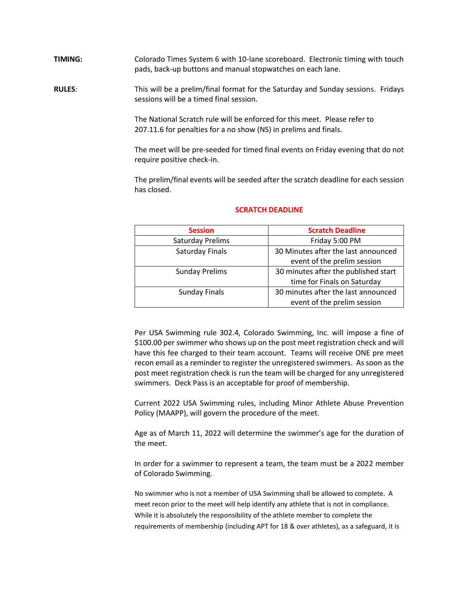**TIMING:** Colorado Times System 6 with 10-lane scoreboard. Electronic timing with touch pads, back-up buttons and manual stopwatches on each lane.

**RULES**: This will be a prelim/final format for the Saturday and Sunday sessions. Fridays sessions will be a timed final session.

> The National Scratch rule will be enforced for this meet. Please refer to 207.11.6 for penalties for a no show (NS) in prelims and finals.

The meet will be pre-seeded for timed final events on Friday evening that do not require positive check-in.

The prelim/final events will be seeded after the scratch deadline for each session has closed.

| <b>Session</b>        | <b>Scratch Deadline</b>              |
|-----------------------|--------------------------------------|
| Saturday Prelims      | Friday 5:00 PM                       |
| Saturday Finals       | 30 Minutes after the last announced  |
|                       | event of the prelim session          |
| <b>Sunday Prelims</b> | 30 minutes after the published start |
|                       | time for Finals on Saturday          |
| <b>Sunday Finals</b>  | 30 minutes after the last announced  |
|                       | event of the prelim session          |

#### **SCRATCH DEADLINE**

Per USA Swimming rule 302.4, Colorado Swimming, Inc. will impose a fine of \$100.00 per swimmer who shows up on the post meet registration check and will have this fee charged to their team account. Teams will receive ONE pre meet recon email as a reminder to register the unregistered swimmers. As soon as the post meet registration check is run the team will be charged for any unregistered swimmers. Deck Pass is an acceptable for proof of membership.

Current 2022 USA Swimming rules, including Minor Athlete Abuse Prevention Policy (MAAPP), will govern the procedure of the meet.

Age as of March 11, 2022 will determine the swimmer's age for the duration of the meet.

In order for a swimmer to represent a team, the team must be a 2022 member of Colorado Swimming.

No swimmer who is not a member of USA Swimming shall be allowed to complete. A meet recon prior to the meet will help identify any athlete that is not in compliance. While it is absolutely the responsibility of the athlete member to complete the requirements of membership (including APT for 18 & over athletes), as a safeguard, it is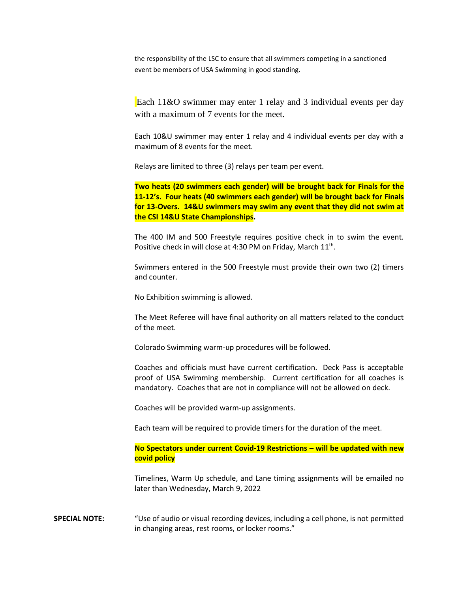the responsibility of the LSC to ensure that all swimmers competing in a sanctioned event be members of USA Swimming in good standing.

Each 11&O swimmer may enter 1 relay and 3 individual events per day with a maximum of 7 events for the meet.

Each 10&U swimmer may enter 1 relay and 4 individual events per day with a maximum of 8 events for the meet.

Relays are limited to three (3) relays per team per event.

**Two heats (20 swimmers each gender) will be brought back for Finals for the 11-12's. Four heats (40 swimmers each gender) will be brought back for Finals for 13-Overs. 14&U swimmers may swim any event that they did not swim at the CSI 14&U State Championships.** 

The 400 IM and 500 Freestyle requires positive check in to swim the event. Positive check in will close at 4:30 PM on Friday, March 11<sup>th</sup>.

Swimmers entered in the 500 Freestyle must provide their own two (2) timers and counter.

No Exhibition swimming is allowed.

The Meet Referee will have final authority on all matters related to the conduct of the meet.

Colorado Swimming warm-up procedures will be followed.

Coaches and officials must have current certification. Deck Pass is acceptable proof of USA Swimming membership. Current certification for all coaches is mandatory. Coaches that are not in compliance will not be allowed on deck.

Coaches will be provided warm-up assignments.

Each team will be required to provide timers for the duration of the meet.

**No Spectators under current Covid-19 Restrictions – will be updated with new covid policy** 

Timelines, Warm Up schedule, and Lane timing assignments will be emailed no later than Wednesday, March 9, 2022

**SPECIAL NOTE:** "Use of audio or visual recording devices, including a cell phone, is not permitted in changing areas, rest rooms, or locker rooms."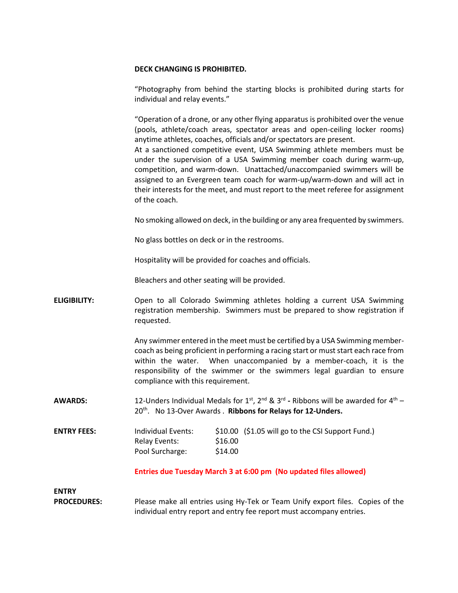#### **DECK CHANGING IS PROHIBITED.**

"Photography from behind the starting blocks is prohibited during starts for individual and relay events."

"Operation of a drone, or any other flying apparatus is prohibited over the venue (pools, athlete/coach areas, spectator areas and open-ceiling locker rooms) anytime athletes, coaches, officials and/or spectators are present. At a sanctioned competitive event, USA Swimming athlete members must be under the supervision of a USA Swimming member coach during warm-up, competition, and warm-down. Unattached/unaccompanied swimmers will be assigned to an Evergreen team coach for warm-up/warm-down and will act in their interests for the meet, and must report to the meet referee for assignment

of the coach.

No smoking allowed on deck, in the building or any area frequented by swimmers.

No glass bottles on deck or in the restrooms.

Hospitality will be provided for coaches and officials.

Bleachers and other seating will be provided.

**ELIGIBILITY:** Open to all Colorado Swimming athletes holding a current USA Swimming registration membership. Swimmers must be prepared to show registration if requested.

> Any swimmer entered in the meet must be certified by a USA Swimming membercoach as being proficient in performing a racing start or must start each race from within the water. When unaccompanied by a member-coach, it is the responsibility of the swimmer or the swimmers legal guardian to ensure compliance with this requirement.

**AWARDS:** 12-Unders Individual Medals for 1<sup>st</sup>, 2<sup>nd</sup> & 3<sup>rd</sup> - Ribbons will be awarded for 4<sup>th</sup> – 20th . No 13-Over Awards . **Ribbons for Relays for 12-Unders.**

**ENTRY FEES:** Individual Events: \$10.00 (\$1.05 will go to the CSI Support Fund.) Relay Events: \$16.00 Pool Surcharge: \$14.00

**Entries due Tuesday March 3 at 6:00 pm (No updated files allowed)**

**ENTRY**

**PROCEDURES:** Please make all entries using Hy-Tek or Team Unify export files. Copies of the individual entry report and entry fee report must accompany entries.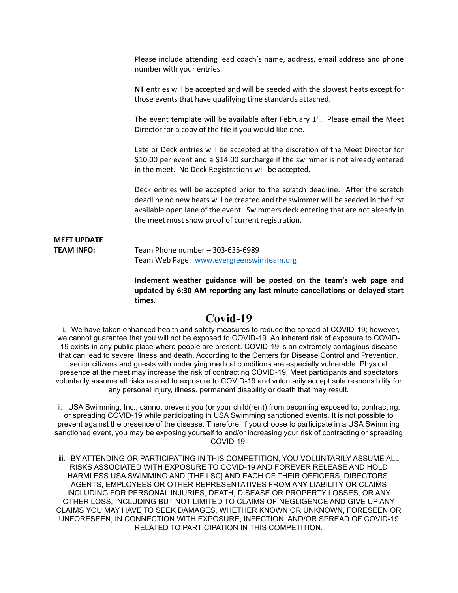Please include attending lead coach's name, address, email address and phone number with your entries.

**NT** entries will be accepted and will be seeded with the slowest heats except for those events that have qualifying time standards attached.

The event template will be available after February  $1<sup>st</sup>$ . Please email the Meet Director for a copy of the file if you would like one.

Late or Deck entries will be accepted at the discretion of the Meet Director for \$10.00 per event and a \$14.00 surcharge if the swimmer is not already entered in the meet. No Deck Registrations will be accepted.

Deck entries will be accepted prior to the scratch deadline. After the scratch deadline no new heats will be created and the swimmer will be seeded in the first available open lane of the event. Swimmers deck entering that are not already in the meet must show proof of current registration.

**MEET UPDATE TEAM INFO:** Team Phone number – 303-635-6989 Team Web Page: [www.evergreenswimteam.org](http://www.evergreenswimteam.org/)

> **Inclement weather guidance will be posted on the team's web page and updated by 6:30 AM reporting any last minute cancellations or delayed start times.**

#### **Covid-19**

 i. We have taken enhanced health and safety measures to reduce the spread of COVID-19; however, we cannot guarantee that you will not be exposed to COVID-19. An inherent risk of exposure to COVID-19 exists in any public place where people are present. COVID-19 is an extremely contagious disease that can lead to severe illness and death. According to the Centers for Disease Control and Prevention, senior citizens and guests with underlying medical conditions are especially vulnerable. Physical presence at the meet may increase the risk of contracting COVID-19. Meet participants and spectators voluntarily assume all risks related to exposure to COVID-19 and voluntarily accept sole responsibility for any personal injury, illness, permanent disability or death that may result.

ii. USA Swimming, Inc., cannot prevent you (or your child(ren)) from becoming exposed to, contracting, or spreading COVID-19 while participating in USA Swimming sanctioned events. It is not possible to prevent against the presence of the disease. Therefore, if you choose to participate in a USA Swimming sanctioned event, you may be exposing yourself to and/or increasing your risk of contracting or spreading COVID-19.

iii. BY ATTENDING OR PARTICIPATING IN THIS COMPETITION, YOU VOLUNTARILY ASSUME ALL RISKS ASSOCIATED WITH EXPOSURE TO COVID-19 AND FOREVER RELEASE AND HOLD HARMLESS USA SWIMMING AND [THE LSC] AND EACH OF THEIR OFFICERS, DIRECTORS, AGENTS, EMPLOYEES OR OTHER REPRESENTATIVES FROM ANY LIABILITY OR CLAIMS INCLUDING FOR PERSONAL INJURIES, DEATH, DISEASE OR PROPERTY LOSSES, OR ANY OTHER LOSS, INCLUDING BUT NOT LIMITED TO CLAIMS OF NEGLIGENCE AND GIVE UP ANY CLAIMS YOU MAY HAVE TO SEEK DAMAGES, WHETHER KNOWN OR UNKNOWN, FORESEEN OR UNFORESEEN, IN CONNECTION WITH EXPOSURE, INFECTION, AND/OR SPREAD OF COVID-19 RELATED TO PARTICIPATION IN THIS COMPETITION.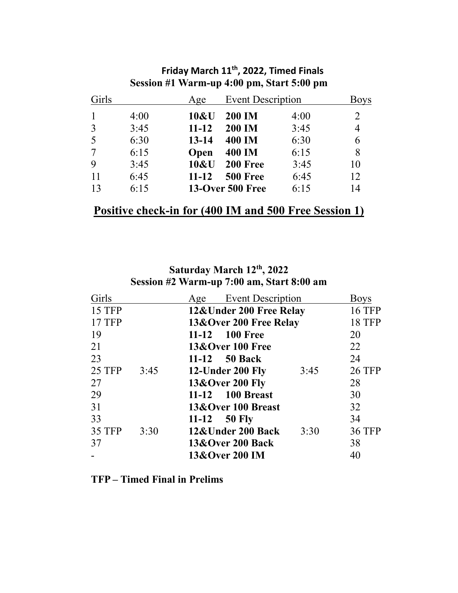| Girls          |      | Age       | <b>Event Description</b> |      | <b>Boys</b> |
|----------------|------|-----------|--------------------------|------|-------------|
|                | 4:00 | 10&U      | <b>200 IM</b>            | 4:00 | 2           |
| $\overline{3}$ | 3:45 | $11 - 12$ | <b>200 IM</b>            | 3:45 | 4           |
| 5              | 6:30 | $13 - 14$ | <b>400 IM</b>            | 6:30 | 6           |
|                | 6:15 | Open      | <b>400 IM</b>            | 6:15 | 8           |
| 9              | 3:45 | 10&U      | 200 Free                 | 3:45 | 10          |
| 11             | 6:45 | $11 - 12$ | 500 Free                 | 6:45 | 12          |
| 13             | 6:15 |           | <b>13-Over 500 Free</b>  | 6:15 | 14          |

## **Friday March 11 th, 2022, Timed Finals Session #1 Warm-up 4:00 pm, Start 5:00 pm**

## **Positive check-in for (400 IM and 500 Free Session 1)**

### **Saturday March 12 th, 2022 Session #2 Warm-up 7:00 am, Start 8:00 am**

| Girls         |      | Age | <b>Event Description</b>    |      | <b>Boys</b>   |
|---------------|------|-----|-----------------------------|------|---------------|
| 15 TFP        |      |     | 12& Under 200 Free Relay    |      | <b>16 TFP</b> |
| <b>17 TFP</b> |      |     | 13&Over 200 Free Relay      |      | <b>18 TFP</b> |
| 19            |      |     | 11-12 100 Free              |      | 20            |
| 21            |      |     | <b>13&amp;Over 100 Free</b> |      | 22            |
| 23            |      |     | 11-12 50 Back               |      | 24            |
| <b>25 TFP</b> | 3:45 |     | 12-Under 200 Fly            | 3:45 | <b>26 TFP</b> |
| 27            |      |     | 13&Over 200 Fly             |      | 28            |
| 29            |      |     | 11-12 100 Breast            |      | 30            |
| 31            |      |     | 13&Over 100 Breast          |      | 32            |
| 33            |      |     | 11-12 $50$ Fly              |      | 34            |
| 35 TFP        | 3:30 |     | 12&Under 200 Back           | 3:30 | <b>36 TFP</b> |
| 37            |      |     | <b>13&amp;Over 200 Back</b> |      | 38            |
|               |      |     | 13&Over 200 IM              |      | 40            |

## **TFP – Timed Final in Prelims**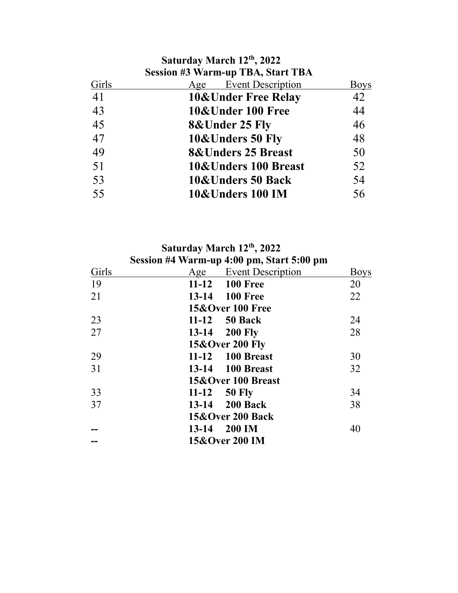|       | Saturday March 12th, 2022<br><b>Session #3 Warm-up TBA, Start TBA</b> |             |
|-------|-----------------------------------------------------------------------|-------------|
| Girls | <b>Event Description</b><br>Age                                       | <b>Boys</b> |
| 41    | <b>10&amp;Under Free Relay</b>                                        | 42          |
| 43    | 10&Under 100 Free                                                     | 44          |
| 45    | <b>8&amp;Under 25 Fly</b>                                             | 46          |
| 47    | 10&Unders 50 Fly                                                      | 48          |
| 49    | <b>8&amp;Unders 25 Breast</b>                                         | 50          |
| 51    | <b>10&amp;Unders 100 Breast</b>                                       | 52          |
| 53    | 10&Unders 50 Back                                                     | 54          |
| 55    | 10&Unders 100 IM                                                      | 56          |

|  |  |  | Saturday March 12th, 2022 |  |
|--|--|--|---------------------------|--|
|--|--|--|---------------------------|--|

|       | Session #4 Warm-up 4:00 pm, Start 5:00 pm |                       |             |
|-------|-------------------------------------------|-----------------------|-------------|
| Girls |                                           | Age Event Description | <b>Boys</b> |
| 19    | 11-12 100 Free                            |                       | 20          |
| 21    | 13-14 100 Free                            |                       | 22          |
|       | <b>15&amp;Over 100 Free</b>               |                       |             |
| 23    | 11-12 50 Back                             |                       | 24          |
| 27    | 13-14 200 Fly                             |                       | 28          |
|       | <b>15&amp;Over 200 Fly</b>                |                       |             |
| 29    | 11-12 100 Breast                          |                       | 30          |
| 31    | 13-14 100 Breast                          |                       | 32          |
|       | 15&Over 100 Breast                        |                       |             |
| 33    | $11-12$ 50 Fly                            |                       | 34          |
| 37    | 13-14 200 Back                            |                       | 38          |
|       | <b>15&amp;Over 200 Back</b>               |                       |             |
|       | $13 - 14$                                 | 200 IM                | 40          |
|       | 15&Over 200 IM                            |                       |             |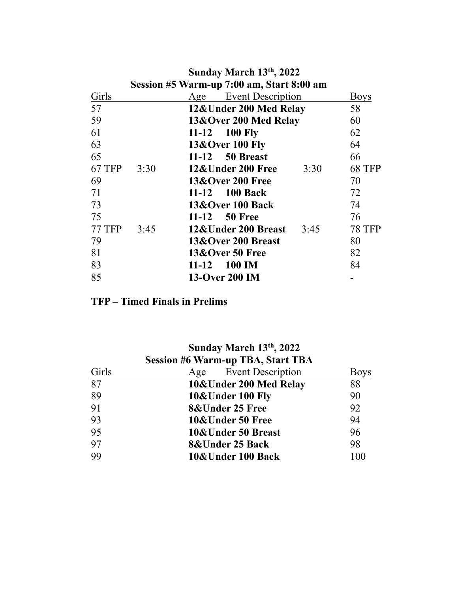|               |                                           | Sunday March 13th, 2022     |               |  |
|---------------|-------------------------------------------|-----------------------------|---------------|--|
|               | Session #5 Warm-up 7:00 am, Start 8:00 am |                             |               |  |
| Girls         |                                           | Age Event Description       | <b>Boys</b>   |  |
| 57            |                                           | 12&Under 200 Med Relay      | 58            |  |
| 59            |                                           | 13&Over 200 Med Relay       | 60            |  |
| 61            |                                           | 11-12 100 Fly               | 62            |  |
| 63            |                                           | 13&Over 100 Fly             | 64            |  |
| 65            |                                           | 11-12 50 Breast             | 66            |  |
| <b>67 TFP</b> | 3:30                                      | 12&Under 200 Free<br>3:30   | <b>68 TFP</b> |  |
| 69            |                                           | <b>13&amp;Over 200 Free</b> | 70            |  |
| 71            |                                           | 11-12 100 Back              | 72            |  |
| 73            |                                           | 13&Over 100 Back            | 74            |  |
| 75            |                                           | 11-12 50 Free               | 76            |  |
| <b>77 TFP</b> | 3:45                                      | 12&Under 200 Breast<br>3:45 | <b>78 TFP</b> |  |
| 79            |                                           | 13&Over 200 Breast          | 80            |  |
| 81            |                                           | 13&Over 50 Free             | 82            |  |
| 83            |                                           | <b>100 IM</b><br>$11 - 12$  | 84            |  |
| 85            |                                           | 13-Over 200 IM              |               |  |

## **TFP – Timed Finals in Prelims**

| Sunday March 13th, 2022 |                                          |             |  |  |
|-------------------------|------------------------------------------|-------------|--|--|
|                         | <b>Session #6 Warm-up TBA, Start TBA</b> |             |  |  |
| Girls                   | Age Event Description                    | <b>Boys</b> |  |  |
| 87                      | 10&Under 200 Med Relay                   | 88          |  |  |
| 89                      | 10&Under 100 Fly                         | 90          |  |  |
| 91                      | <b>8&amp;Under 25 Free</b>               | 92          |  |  |
| 93                      | 10&Under 50 Free                         | 94          |  |  |
| 95                      | 10&Under 50 Breast                       | 96          |  |  |
| 97                      | 8&Under 25 Back                          | 98          |  |  |
| 99                      | 10&Under 100 Back                        | 100         |  |  |